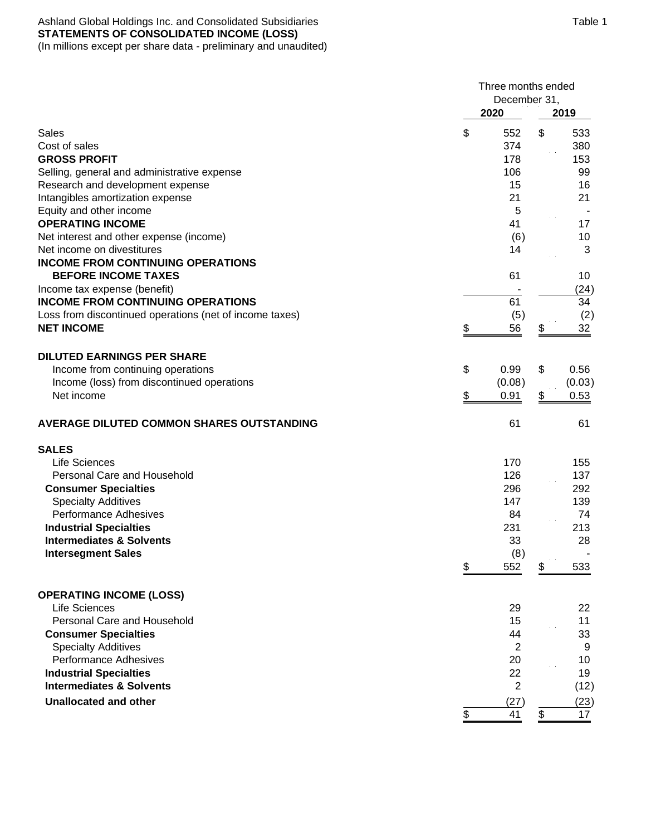# Ashland Global Holdings Inc. and Consolidated Subsidiaries **STATEMENTS OF CONSOLIDATED INCOME (LOSS)**

(In millions except per share data - preliminary and unaudited)

|                                                                          |                                 | Three months ended<br>December 31, |            |  |  |
|--------------------------------------------------------------------------|---------------------------------|------------------------------------|------------|--|--|
|                                                                          | 2020                            |                                    | 2019       |  |  |
| Sales                                                                    | \$<br>552                       | \$                                 | 533        |  |  |
| Cost of sales                                                            | 374                             |                                    | 380        |  |  |
| <b>GROSS PROFIT</b>                                                      | 178                             |                                    | 153        |  |  |
| Selling, general and administrative expense                              | 106                             |                                    | 99         |  |  |
| Research and development expense                                         | 15                              |                                    | 16         |  |  |
| Intangibles amortization expense                                         | 21                              |                                    | 21         |  |  |
| Equity and other income                                                  | 5                               |                                    |            |  |  |
| <b>OPERATING INCOME</b>                                                  | 41                              |                                    | 17         |  |  |
| Net interest and other expense (income)                                  | (6)                             |                                    | 10         |  |  |
| Net income on divestitures                                               | 14                              |                                    | 3          |  |  |
| <b>INCOME FROM CONTINUING OPERATIONS</b>                                 |                                 |                                    |            |  |  |
| <b>BEFORE INCOME TAXES</b>                                               | 61                              |                                    | 10         |  |  |
| Income tax expense (benefit)<br><b>INCOME FROM CONTINUING OPERATIONS</b> | 61                              |                                    | (24)<br>34 |  |  |
|                                                                          |                                 |                                    |            |  |  |
| Loss from discontinued operations (net of income taxes)                  | (5)                             |                                    | (2)        |  |  |
| <b>NET INCOME</b>                                                        | \$<br>56                        | \$                                 | 32         |  |  |
| <b>DILUTED EARNINGS PER SHARE</b>                                        |                                 |                                    |            |  |  |
| Income from continuing operations                                        | \$<br>0.99                      | \$                                 | 0.56       |  |  |
| Income (loss) from discontinued operations                               | (0.08)                          |                                    | (0.03)     |  |  |
| Net income                                                               | \$<br>0.91                      | \$                                 | 0.53       |  |  |
| <b>AVERAGE DILUTED COMMON SHARES OUTSTANDING</b>                         | 61                              |                                    | 61         |  |  |
| <b>SALES</b>                                                             |                                 |                                    |            |  |  |
| Life Sciences                                                            | 170                             |                                    | 155        |  |  |
| Personal Care and Household                                              | 126                             |                                    | 137        |  |  |
| <b>Consumer Specialties</b>                                              | 296                             |                                    | 292        |  |  |
| <b>Specialty Additives</b>                                               | 147                             |                                    | 139        |  |  |
| <b>Performance Adhesives</b>                                             | 84                              |                                    | 74         |  |  |
| <b>Industrial Specialties</b>                                            | 231                             |                                    | 213        |  |  |
| <b>Intermediates &amp; Solvents</b>                                      | 33                              |                                    | 28         |  |  |
| <b>Intersegment Sales</b>                                                | (8)                             |                                    |            |  |  |
|                                                                          | \$<br>552                       | \$                                 | 533        |  |  |
| <b>OPERATING INCOME (LOSS)</b>                                           |                                 |                                    |            |  |  |
| Life Sciences                                                            | 29                              |                                    | 22         |  |  |
| Personal Care and Household                                              | 15                              |                                    | 11         |  |  |
| <b>Consumer Specialties</b>                                              | 44                              |                                    | 33         |  |  |
| <b>Specialty Additives</b>                                               | $\overline{2}$                  |                                    | 9          |  |  |
| Performance Adhesives                                                    | 20                              |                                    | 10         |  |  |
| <b>Industrial Specialties</b>                                            | 22                              |                                    | 19         |  |  |
| <b>Intermediates &amp; Solvents</b>                                      | $\overline{2}$                  |                                    | (12)       |  |  |
| <b>Unallocated and other</b>                                             | (27)                            |                                    | (23)       |  |  |
|                                                                          | $\boldsymbol{\mathsf{S}}$<br>41 | \$                                 | 17         |  |  |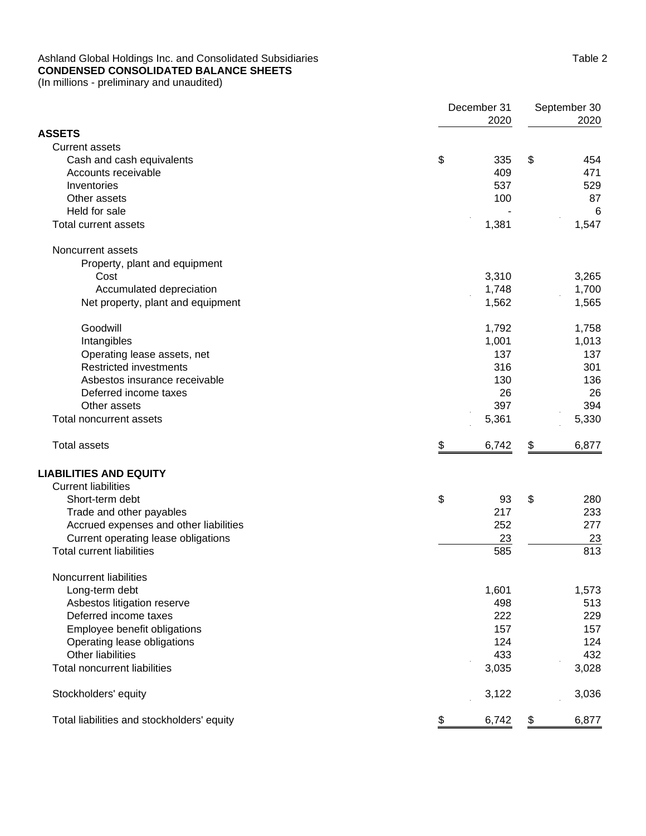## Ashland Global Holdings Inc. and Consolidated Subsidiaries **CONDENSED CONSOLIDATED BALANCE SHEETS**

(In millions - preliminary and unaudited)

|                                            | December 31<br>2020 |     | September 30<br>2020 |       |  |
|--------------------------------------------|---------------------|-----|----------------------|-------|--|
| <b>ASSETS</b>                              |                     |     |                      |       |  |
| <b>Current assets</b>                      |                     |     |                      |       |  |
| Cash and cash equivalents                  | \$                  | 335 | \$                   | 454   |  |
| Accounts receivable                        | 409                 |     |                      | 471   |  |
| Inventories                                | 537                 |     |                      | 529   |  |
| Other assets                               |                     | 100 |                      | 87    |  |
| Held for sale                              |                     |     |                      | 6     |  |
| <b>Total current assets</b>                | 1,381               |     |                      | 1,547 |  |
| Noncurrent assets                          |                     |     |                      |       |  |
| Property, plant and equipment              |                     |     |                      |       |  |
| Cost                                       | 3,310               |     |                      | 3,265 |  |
| Accumulated depreciation                   | 1,748               |     |                      | 1,700 |  |
| Net property, plant and equipment          | 1,562               |     |                      | 1,565 |  |
| Goodwill                                   | 1,792               |     |                      | 1,758 |  |
| Intangibles                                | 1,001               |     |                      | 1,013 |  |
| Operating lease assets, net                |                     | 137 |                      | 137   |  |
| <b>Restricted investments</b>              | 316                 |     |                      | 301   |  |
| Asbestos insurance receivable              |                     | 130 |                      | 136   |  |
| Deferred income taxes                      |                     | 26  |                      | 26    |  |
| Other assets                               | 397                 |     |                      | 394   |  |
| Total noncurrent assets                    | 5,361               |     |                      | 5,330 |  |
| <b>Total assets</b>                        | \$<br>6,742         |     | \$                   | 6,877 |  |
| <b>LIABILITIES AND EQUITY</b>              |                     |     |                      |       |  |
| <b>Current liabilities</b>                 |                     |     |                      |       |  |
| Short-term debt                            | \$                  | 93  | \$                   | 280   |  |
| Trade and other payables                   | 217                 |     |                      | 233   |  |
| Accrued expenses and other liabilities     | 252                 |     |                      | 277   |  |
| Current operating lease obligations        |                     | 23  |                      | 23    |  |
| <b>Total current liabilities</b>           | 585                 |     |                      | 813   |  |
| Noncurrent liabilities                     |                     |     |                      |       |  |
| Long-term debt                             | 1,601               |     |                      | 1,573 |  |
| Asbestos litigation reserve                |                     | 498 |                      | 513   |  |
| Deferred income taxes                      |                     | 222 |                      | 229   |  |
| Employee benefit obligations               |                     | 157 |                      | 157   |  |
| Operating lease obligations                | 124                 |     |                      | 124   |  |
| Other liabilities                          | 433                 |     |                      | 432   |  |
| <b>Total noncurrent liabilities</b>        | 3,035               |     |                      | 3,028 |  |
| Stockholders' equity                       | 3,122               |     |                      | 3,036 |  |
| Total liabilities and stockholders' equity | 6,742<br>\$         |     | \$                   | 6,877 |  |
|                                            |                     |     |                      |       |  |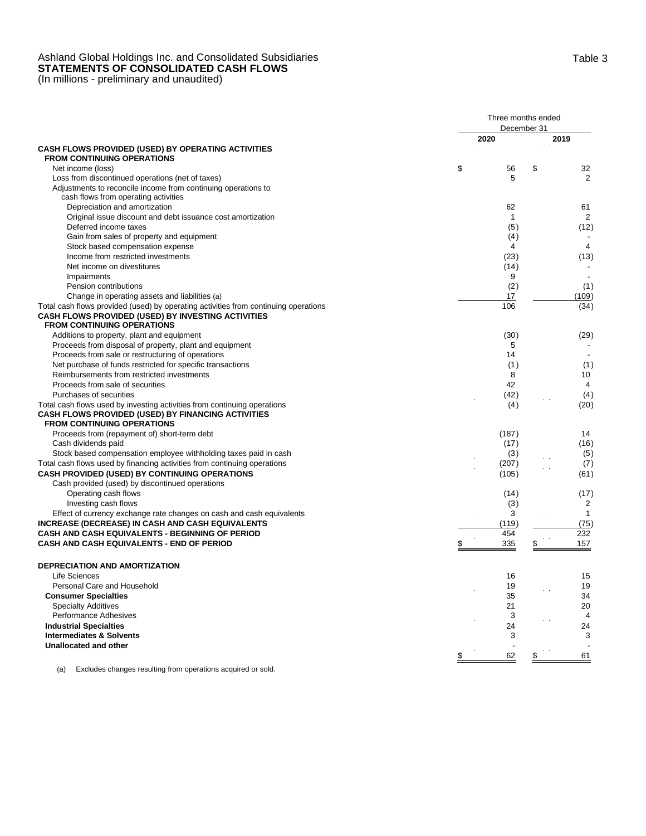# Ashland Global Holdings Inc. and Consolidated Subsidiaries **STATEMENTS OF CONSOLIDATED CASH FLOWS**

(In millions - preliminary and unaudited)

|                                                                                                                                                                                | Three months ended<br>December 31 |                          |  |  |
|--------------------------------------------------------------------------------------------------------------------------------------------------------------------------------|-----------------------------------|--------------------------|--|--|
|                                                                                                                                                                                | 2020                              | 2019                     |  |  |
| CASH FLOWS PROVIDED (USED) BY OPERATING ACTIVITIES                                                                                                                             |                                   |                          |  |  |
| <b>FROM CONTINUING OPERATIONS</b>                                                                                                                                              |                                   |                          |  |  |
| Net income (loss)                                                                                                                                                              | \$<br>56                          | \$<br>32                 |  |  |
| Loss from discontinued operations (net of taxes)                                                                                                                               | 5                                 | 2                        |  |  |
| Adjustments to reconcile income from continuing operations to                                                                                                                  |                                   |                          |  |  |
| cash flows from operating activities                                                                                                                                           |                                   |                          |  |  |
| Depreciation and amortization                                                                                                                                                  | 62                                | 61                       |  |  |
| Original issue discount and debt issuance cost amortization                                                                                                                    | $\mathbf{1}$                      | $\overline{2}$           |  |  |
| Deferred income taxes                                                                                                                                                          | (5)                               | (12)                     |  |  |
| Gain from sales of property and equipment                                                                                                                                      | (4)                               |                          |  |  |
| Stock based compensation expense                                                                                                                                               | 4                                 | 4                        |  |  |
| Income from restricted investments                                                                                                                                             | (23)                              | (13)                     |  |  |
| Net income on divestitures                                                                                                                                                     | (14)                              |                          |  |  |
| Impairments                                                                                                                                                                    | 9                                 |                          |  |  |
| Pension contributions                                                                                                                                                          | (2)                               | (1)                      |  |  |
| Change in operating assets and liabilities (a)                                                                                                                                 | 17                                | (109)                    |  |  |
| Total cash flows provided (used) by operating activities from continuing operations<br>CASH FLOWS PROVIDED (USED) BY INVESTING ACTIVITIES<br><b>FROM CONTINUING OPERATIONS</b> | 106                               | (34)                     |  |  |
| Additions to property, plant and equipment                                                                                                                                     | (30)                              | (29)                     |  |  |
| Proceeds from disposal of property, plant and equipment                                                                                                                        | 5                                 |                          |  |  |
| Proceeds from sale or restructuring of operations                                                                                                                              | 14                                |                          |  |  |
| Net purchase of funds restricted for specific transactions                                                                                                                     |                                   |                          |  |  |
| Reimbursements from restricted investments                                                                                                                                     | (1)<br>8                          | (1)<br>10                |  |  |
| Proceeds from sale of securities                                                                                                                                               | 42                                | $\overline{4}$           |  |  |
| Purchases of securities                                                                                                                                                        |                                   |                          |  |  |
|                                                                                                                                                                                | (42)                              | (4)                      |  |  |
| Total cash flows used by investing activities from continuing operations<br>CASH FLOWS PROVIDED (USED) BY FINANCING ACTIVITIES<br><b>FROM CONTINUING OPERATIONS</b>            | (4)                               | (20)                     |  |  |
| Proceeds from (repayment of) short-term debt                                                                                                                                   | (187)                             | 14                       |  |  |
| Cash dividends paid                                                                                                                                                            | (17)                              | (16)                     |  |  |
| Stock based compensation employee withholding taxes paid in cash                                                                                                               | (3)                               | (5)                      |  |  |
| Total cash flows used by financing activities from continuing operations                                                                                                       | (207)                             | (7)                      |  |  |
| CASH PROVIDED (USED) BY CONTINUING OPERATIONS                                                                                                                                  | (105)                             | (61)                     |  |  |
| Cash provided (used) by discontinued operations                                                                                                                                |                                   |                          |  |  |
| Operating cash flows                                                                                                                                                           | (14)                              | (17)                     |  |  |
| Investing cash flows                                                                                                                                                           | (3)                               | $\overline{2}$           |  |  |
| Effect of currency exchange rate changes on cash and cash equivalents                                                                                                          | 3                                 | $\mathbf{1}$             |  |  |
| <b>INCREASE (DECREASE) IN CASH AND CASH EQUIVALENTS</b>                                                                                                                        | (119)                             | (75)                     |  |  |
| CASH AND CASH EQUIVALENTS - BEGINNING OF PERIOD                                                                                                                                | 454                               | 232                      |  |  |
| <b>CASH AND CASH EQUIVALENTS - END OF PERIOD</b>                                                                                                                               | 335                               | \$<br>157                |  |  |
|                                                                                                                                                                                |                                   |                          |  |  |
| <b>DEPRECIATION AND AMORTIZATION</b>                                                                                                                                           |                                   |                          |  |  |
| Life Sciences                                                                                                                                                                  | 16                                | 15                       |  |  |
| Personal Care and Household                                                                                                                                                    | 19                                | 19                       |  |  |
| <b>Consumer Specialties</b>                                                                                                                                                    | 35                                | 34                       |  |  |
| <b>Specialty Additives</b>                                                                                                                                                     | 21                                | 20                       |  |  |
| Performance Adhesives                                                                                                                                                          | 3                                 | 4                        |  |  |
| <b>Industrial Specialties</b>                                                                                                                                                  | 24                                | 24                       |  |  |
| <b>Intermediates &amp; Solvents</b>                                                                                                                                            | 3                                 | 3                        |  |  |
| Unallocated and other                                                                                                                                                          |                                   | $\overline{\phantom{a}}$ |  |  |
|                                                                                                                                                                                | 62<br>\$                          | 61<br>\$                 |  |  |

(a) Excludes changes resulting from operations acquired or sold.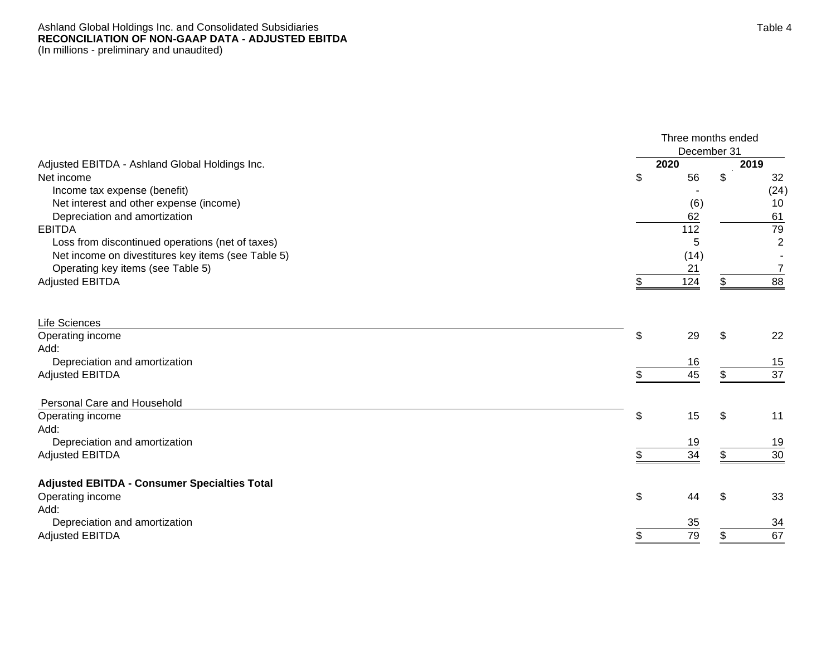#### Ashland Global Holdings Inc. and Consolidated Subsidiaries **RECONCILIATION OF NON-GAAP DATA - ADJUSTED EBITDA** (In millions - preliminary and unaudited)

|                                                     | Three months ended |     |                |  |  |  |
|-----------------------------------------------------|--------------------|-----|----------------|--|--|--|
|                                                     | December 31        |     |                |  |  |  |
| Adjusted EBITDA - Ashland Global Holdings Inc.      | 2020               |     | 2019           |  |  |  |
| Net income                                          | \$<br>56           | \$  | 32             |  |  |  |
| Income tax expense (benefit)                        |                    |     | (24)           |  |  |  |
| Net interest and other expense (income)             | (6)                |     | 10             |  |  |  |
| Depreciation and amortization                       | 62                 |     | 61             |  |  |  |
| <b>EBITDA</b>                                       | 112                |     | 79             |  |  |  |
| Loss from discontinued operations (net of taxes)    | 5                  |     | $\overline{2}$ |  |  |  |
| Net income on divestitures key items (see Table 5)  | (14)               |     |                |  |  |  |
| Operating key items (see Table 5)                   | 21                 |     | 7              |  |  |  |
| <b>Adjusted EBITDA</b>                              | 124                |     | 88             |  |  |  |
| Life Sciences                                       |                    |     |                |  |  |  |
| Operating income                                    | \$<br>29           | \$. | 22             |  |  |  |
| Add:                                                |                    |     |                |  |  |  |
| Depreciation and amortization                       | 16                 |     | 15             |  |  |  |
| <b>Adjusted EBITDA</b>                              | 45                 |     | 37             |  |  |  |
|                                                     |                    |     |                |  |  |  |
| Personal Care and Household                         |                    |     |                |  |  |  |
| Operating income                                    | \$<br>15           | \$  | 11             |  |  |  |
| Add:                                                |                    |     |                |  |  |  |
| Depreciation and amortization                       | 19                 |     | 19             |  |  |  |
| <b>Adjusted EBITDA</b>                              | 34                 | \$  | 30             |  |  |  |
| <b>Adjusted EBITDA - Consumer Specialties Total</b> |                    |     |                |  |  |  |
| Operating income                                    | \$<br>44           | \$  | 33             |  |  |  |
| Add:                                                |                    |     |                |  |  |  |
| Depreciation and amortization                       | 35                 |     | 34             |  |  |  |
| <b>Adjusted EBITDA</b>                              | 79                 |     | 67             |  |  |  |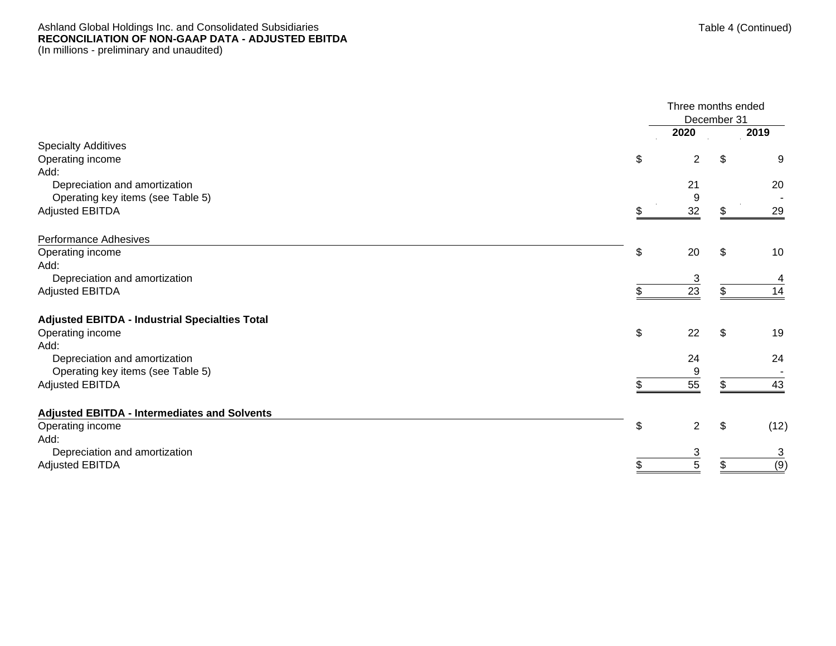#### Ashland Global Holdings Inc. and Consolidated Subsidiaries **RECONCILIATION OF NON -GAAP DATA - ADJUSTED EBITDA** (In millions - preliminary and unaudited)

|                                                       | Three months ended   | December 31 |      |
|-------------------------------------------------------|----------------------|-------------|------|
|                                                       | 2020                 |             | 2019 |
| <b>Specialty Additives</b>                            |                      |             |      |
| Operating income                                      | \$<br>$\overline{2}$ | \$          | 9    |
| Add:                                                  |                      |             |      |
| Depreciation and amortization                         | 21                   |             | 20   |
| Operating key items (see Table 5)                     |                      |             |      |
| <b>Adjusted EBITDA</b>                                | 32                   |             | 29   |
| <b>Performance Adhesives</b>                          |                      |             |      |
| Operating income                                      | \$<br>20             | \$          | 10   |
| Add:                                                  |                      |             |      |
| Depreciation and amortization                         | 3                    |             | 4    |
| <b>Adjusted EBITDA</b>                                | 23                   |             | 14   |
| <b>Adjusted EBITDA - Industrial Specialties Total</b> |                      |             |      |
| Operating income                                      | \$<br>22             | \$          | 19   |
| Add:                                                  |                      |             |      |
| Depreciation and amortization                         | 24                   |             | 24   |
| Operating key items (see Table 5)                     | 9                    |             |      |
| <b>Adjusted EBITDA</b>                                | 55                   |             | 43   |
| <b>Adjusted EBITDA - Intermediates and Solvents</b>   |                      |             |      |
| Operating income                                      | \$<br>$\overline{2}$ | \$          | (12) |
| Add:                                                  |                      |             |      |
| Depreciation and amortization                         | 3                    |             | 3    |
| <b>Adjusted EBITDA</b>                                | 5                    |             | (9)  |
|                                                       |                      |             |      |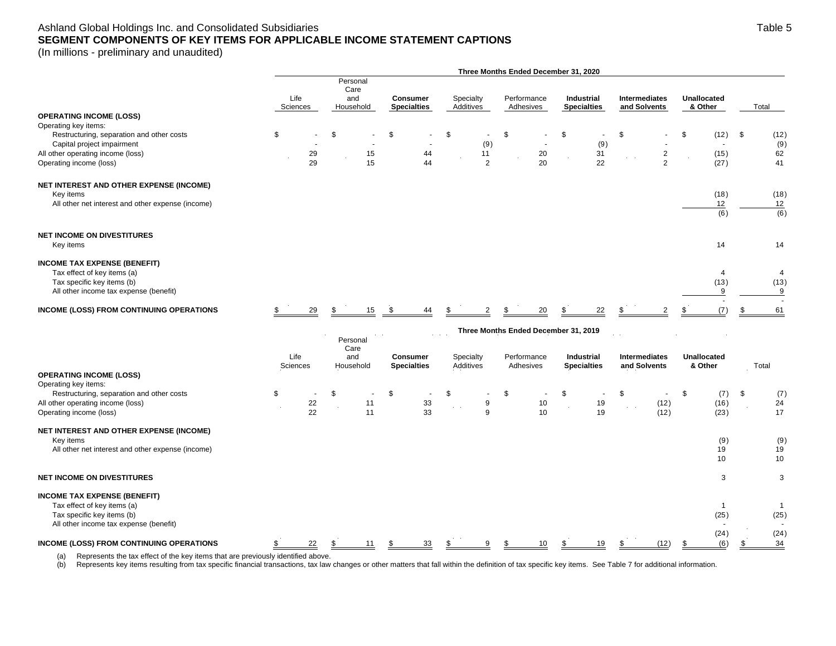# Ashland Global Holdings Inc. and Consolidated Subsidiaries **SEGMENT COMPONENTS OF KEY ITEMS FOR APPLICABLE INCOME STATEMENT CAPTIONS**

(In millions - preliminary and unaudited)

|                                                                                                                                                                     |                  |                       |                                      |                                            |                        | Three Months Ended December 31, 2020 |                                  |                               |                                        |                             |
|---------------------------------------------------------------------------------------------------------------------------------------------------------------------|------------------|-----------------------|--------------------------------------|--------------------------------------------|------------------------|--------------------------------------|----------------------------------|-------------------------------|----------------------------------------|-----------------------------|
|                                                                                                                                                                     |                  | Life<br>Sciences      | Personal<br>Care<br>and<br>Household | <b>Consumer</b><br><b>Specialties</b>      | Specialty<br>Additives | Performance<br>Adhesives             | Industrial<br><b>Specialties</b> | Intermediates<br>and Solvents | <b>Unallocated</b><br>& Other          | Total                       |
| <b>OPERATING INCOME (LOSS)</b>                                                                                                                                      |                  |                       |                                      |                                            |                        |                                      |                                  |                               |                                        |                             |
| Operating key items:<br>Restructuring, separation and other costs<br>Capital project impairment                                                                     | \$               |                       |                                      | \$                                         | \$<br>(9)              | \$                                   | \$<br>(9)                        | £.                            | \$<br>(12)<br>$\overline{\phantom{a}}$ | \$<br>(12)<br>(9)           |
| All other operating income (loss)<br>Operating income (loss)                                                                                                        |                  | 29<br>29              | 15<br>15                             | 44<br>44                                   | 11<br>$\overline{2}$   | 20<br>20                             | 31<br>22                         | $\sqrt{2}$<br>$\overline{2}$  | (15)<br>(27)                           | 62<br>41                    |
| NET INTEREST AND OTHER EXPENSE (INCOME)<br>Key items                                                                                                                |                  |                       |                                      |                                            |                        |                                      |                                  |                               | (18)                                   | (18)                        |
| All other net interest and other expense (income)                                                                                                                   |                  |                       |                                      |                                            |                        |                                      |                                  |                               | 12<br>(6)                              | 12<br>(6)                   |
| <b>NET INCOME ON DIVESTITURES</b><br>Key items                                                                                                                      |                  |                       |                                      |                                            |                        |                                      |                                  |                               | 14                                     | 14                          |
| <b>INCOME TAX EXPENSE (BENEFIT)</b><br>Tax effect of key items (a)<br>Tax specific key items (b)<br>All other income tax expense (benefit)                          |                  |                       |                                      |                                            |                        |                                      |                                  |                               | 4<br>(13)<br>9                         | $\overline{4}$<br>(13)<br>9 |
| INCOME (LOSS) FROM CONTINUING OPERATIONS                                                                                                                            |                  | 29                    | 15<br>\$                             | \$<br>44                                   | $\overline{2}$         | 20                                   | 22                               | $\overline{2}$                | (7)<br>\$                              | 61                          |
|                                                                                                                                                                     |                  |                       |                                      |                                            |                        | Three Months Ended December 31, 2019 |                                  |                               |                                        |                             |
|                                                                                                                                                                     |                  |                       | Personal                             |                                            |                        |                                      |                                  |                               |                                        |                             |
|                                                                                                                                                                     | Life<br>Sciences |                       | Care<br>and<br>Household             | <b>Consumer</b><br><b>Specialties</b>      | Specialty<br>Additives | Performance<br>Adhesives             | Industrial<br><b>Specialties</b> | Intermediates<br>and Solvents | <b>Unallocated</b><br>& Other          | Total                       |
| <b>OPERATING INCOME (LOSS)</b><br>Operating key items:<br>Restructuring, separation and other costs<br>All other operating income (loss)<br>Operating income (loss) | \$               | 22<br>$\overline{22}$ | \$<br>11<br>11                       | \$<br>$\overline{\phantom{a}}$<br>33<br>33 | \$<br>9<br>9           | \$<br>10<br>10                       | \$<br>19<br>19                   | \$<br>$\sim$<br>(12)<br>(12)  | \$<br>(7)<br>(16)<br>(23)              | \$<br>(7)<br>24<br>17       |
| NET INTEREST AND OTHER EXPENSE (INCOME)                                                                                                                             |                  |                       |                                      |                                            |                        |                                      |                                  |                               |                                        |                             |
| Key items<br>All other net interest and other expense (income)                                                                                                      |                  |                       |                                      |                                            |                        |                                      |                                  |                               | (9)<br>19<br>10                        | (9)<br>19<br>10             |
| <b>NET INCOME ON DIVESTITURES</b>                                                                                                                                   |                  |                       |                                      |                                            |                        |                                      |                                  |                               | 3                                      | 3                           |
| <b>INCOME TAX EXPENSE (BENEFIT)</b><br>Tax effect of key items (a)<br>Tax specific key items (b)<br>All other income tax expense (benefit)                          |                  |                       |                                      |                                            |                        |                                      |                                  |                               | $\mathbf{1}$<br>(25)                   | (25)                        |
| INCOME (LOSS) FROM CONTINUING OPERATIONS                                                                                                                            |                  | 22                    | 11<br>S                              | 33                                         |                        | 10                                   | 19                               | (12)                          | (24)<br>(6)<br>S                       | (24)<br>34                  |

(a) Represents the tax effect of the key items that are previously identified above.

(b) Represents key items resulting from tax specific financial transactions, tax law changes or other matters that fall within the definition of tax specific key items. See Table 7 for additional information.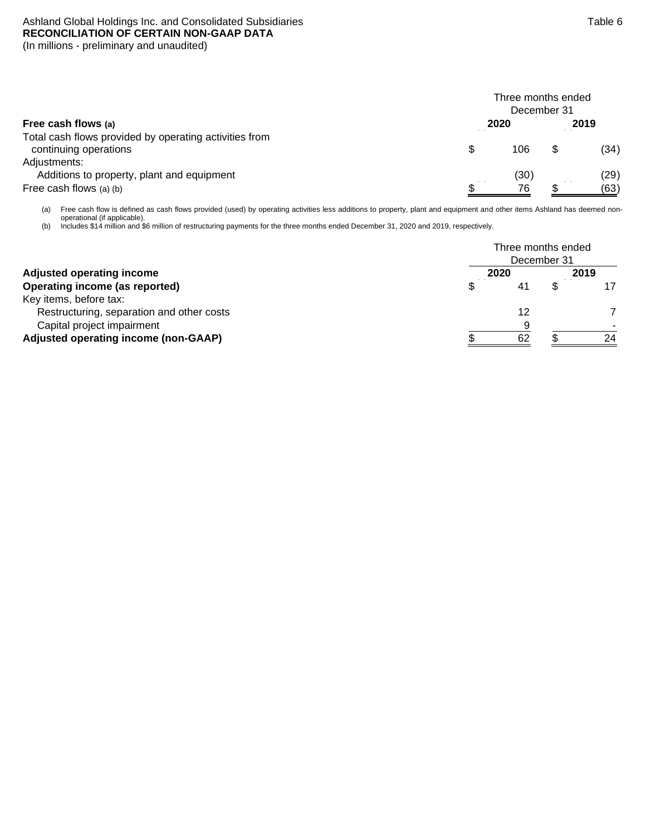## Ashland Global Holdings Inc. and Consolidated Subsidiaries **RECONCILIATION OF CERTAIN NON-GAAP DATA** (In millions - preliminary and unaudited)

|                                                                                 | Three months ended<br>December 31 |      |      |      |  |  |  |  |  |
|---------------------------------------------------------------------------------|-----------------------------------|------|------|------|--|--|--|--|--|
| Free cash flows (a)                                                             |                                   | 2020 | 2019 |      |  |  |  |  |  |
| Total cash flows provided by operating activities from<br>continuing operations | \$                                | 106  |      | (34) |  |  |  |  |  |
| Adjustments:<br>Additions to property, plant and equipment                      |                                   | (30) |      | (29) |  |  |  |  |  |
| Free cash flows (a) (b)                                                         |                                   | 76   |      | (63) |  |  |  |  |  |

(a) Free cash flow is defined as cash flows provided (used) by operating activities less additions to property, plant and equipment and other items Ashland has deemed nonoperational (if applicable).

(b) Includes \$14 million and \$6 million of restructuring payments for the three months ended December 31, 2020 and 2019, respectively.

|                                           |      | Three months ended<br>December 31 |      |
|-------------------------------------------|------|-----------------------------------|------|
| <b>Adjusted operating income</b>          | 2020 |                                   | 2019 |
| Operating income (as reported)            | 41   |                                   |      |
| Key items, before tax:                    |      |                                   |      |
| Restructuring, separation and other costs | 12   |                                   |      |
| Capital project impairment                |      | a                                 |      |
| Adjusted operating income (non-GAAP)      | 62   |                                   | 24   |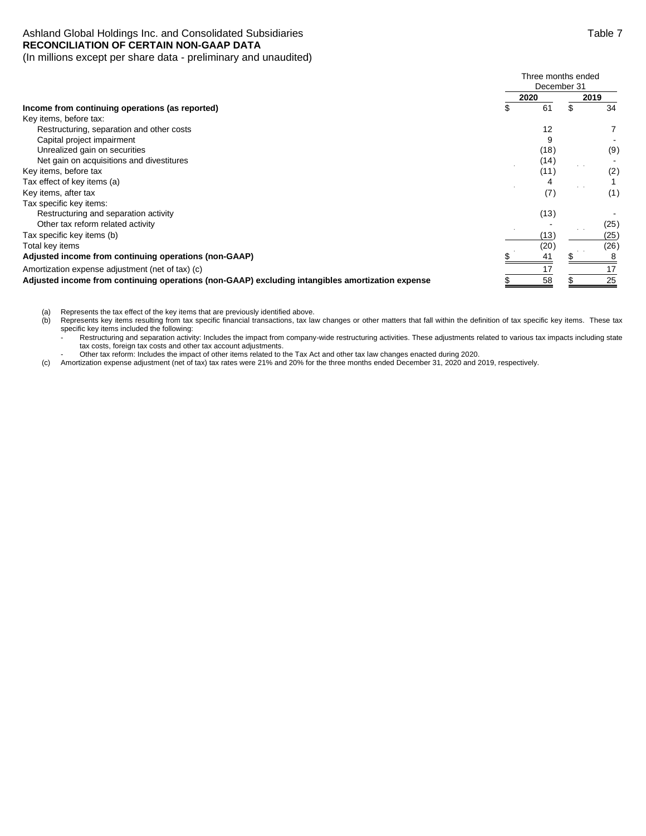#### Ashland Global Holdings Inc. and Consolidated Subsidiaries Table 7 and Consolidated Subsidiaries **RECONCILIATION OF CERTAIN NON-GAAP DATA**  (In millions except per share data - preliminary and unaudited)

|                                                                                                                                                                                                                                                                                        | Three months ended<br>December 31 |      |    |                |
|----------------------------------------------------------------------------------------------------------------------------------------------------------------------------------------------------------------------------------------------------------------------------------------|-----------------------------------|------|----|----------------|
|                                                                                                                                                                                                                                                                                        |                                   | 2020 |    | 2019           |
| Income from continuing operations (as reported)<br>Restructuring, separation and other costs<br>Capital project impairment<br>Unrealized gain on securities<br>Net gain on acquisitions and divestitures<br>Restructuring and separation activity<br>Other tax reform related activity | \$                                | 61   | \$ | 34             |
| Key items, before tax:                                                                                                                                                                                                                                                                 |                                   |      |    |                |
|                                                                                                                                                                                                                                                                                        |                                   | 12   |    | $\overline{7}$ |
|                                                                                                                                                                                                                                                                                        |                                   | 9    |    |                |
|                                                                                                                                                                                                                                                                                        |                                   | (18) |    | (9)            |
|                                                                                                                                                                                                                                                                                        |                                   | (14) |    |                |
| Key items, before tax                                                                                                                                                                                                                                                                  |                                   | (11) |    | (2)            |
| Tax effect of key items (a)                                                                                                                                                                                                                                                            |                                   |      |    |                |
| Key items, after tax                                                                                                                                                                                                                                                                   |                                   | (7)  |    | (1)            |
| Tax specific key items:                                                                                                                                                                                                                                                                |                                   |      |    |                |
|                                                                                                                                                                                                                                                                                        |                                   | (13) |    |                |
|                                                                                                                                                                                                                                                                                        |                                   |      |    | (25)           |
| Tax specific key items (b)                                                                                                                                                                                                                                                             |                                   | (13) |    | (25)           |
| Total key items                                                                                                                                                                                                                                                                        |                                   | (20) |    | (26)           |
| Adjusted income from continuing operations (non-GAAP)                                                                                                                                                                                                                                  |                                   | 41   |    |                |
| Amortization expense adjustment (net of tax) (c)                                                                                                                                                                                                                                       |                                   |      |    | 17             |
| Adjusted income from continuing operations (non-GAAP) excluding intangibles amortization expense                                                                                                                                                                                       |                                   | 58   |    | 25             |

(a) Represents the tax effect of the key items that are previously identified above.<br>(b) Represents key items resulting from tax specific financial transactions, tax la

Represents key items resulting from tax specific financial transactions, tax law changes or other matters that fall within the definition of tax specific key items. These tax specific key items included the following:

- Restructuring and separation activity: Includes the impact from company-wide restructuring activities. These adjustments related to various tax impacts including state tax costs, foreign tax costs and other tax account adjustments.

- Other tax reform: Includes the impact of other items related to the Tax Act and other tax law changes enacted during 2020.

(c) Amortization expense adjustment (net of tax) tax rates were 21% and 20% for the three months ended December 31, 2020 and 2019, respectively.